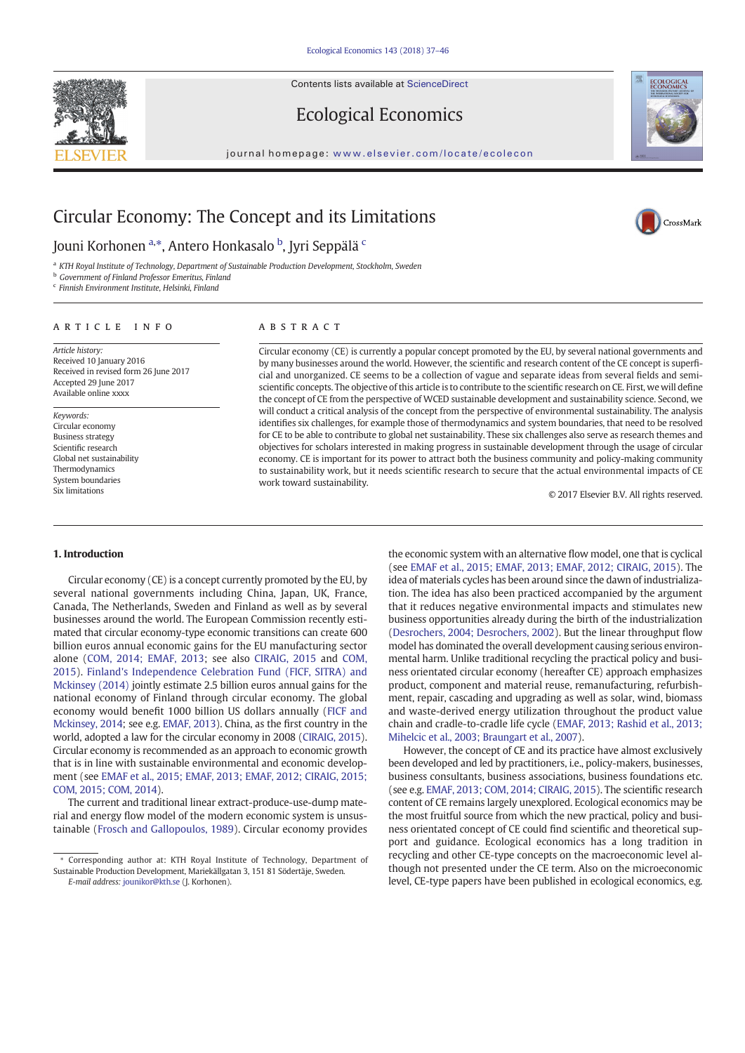

Ecological Economics





## Jouni Korhonen <sup>a,</sup>\*, Antero Honkasalo <sup>b</sup>, Jyri Seppälä <sup>c</sup>

<sup>a</sup> KTH Royal Institute of Technology, Department of Sustainable Production Development, Stockholm, Sweden

**b** Government of Finland Professor Emeritus, Finland

<sup>c</sup> Finnish Environment Institute, Helsinki, Finland

#### article info abstract

Article history: Received 10 January 2016 Received in revised form 26 June 2017 Accepted 29 June 2017 Available online xxxx

Keywords: Circular economy Business strategy Scientific research Global net sustainability Thermodynamics System boundaries Six limitations

Circular economy (CE) is currently a popular concept promoted by the EU, by several national governments and by many businesses around the world. However, the scientific and research content of the CE concept is superficial and unorganized. CE seems to be a collection of vague and separate ideas from several fields and semiscientific concepts. The objective of this article is to contribute to the scientific research on CE. First, we will define the concept of CE from the perspective of WCED sustainable development and sustainability science. Second, we will conduct a critical analysis of the concept from the perspective of environmental sustainability. The analysis identifies six challenges, for example those of thermodynamics and system boundaries, that need to be resolved for CE to be able to contribute to global net sustainability. These six challenges also serve as research themes and objectives for scholars interested in making progress in sustainable development through the usage of circular economy. CE is important for its power to attract both the business community and policy-making community to sustainability work, but it needs scientific research to secure that the actual environmental impacts of CE work toward sustainability.

© 2017 Elsevier B.V. All rights reserved.

### 1. Introduction

Circular economy (CE) is a concept currently promoted by the EU, by several national governments including China, Japan, UK, France, Canada, The Netherlands, Sweden and Finland as well as by several businesses around the world. The European Commission recently estimated that circular economy-type economic transitions can create 600 billion euros annual economic gains for the EU manufacturing sector alone ([COM, 2014; EMAF, 2013](#page--1-0); see also [CIRAIG, 2015](#page--1-0) and [COM,](#page--1-0) [2015\)](#page--1-0). [Finland's Independence Celebration Fund \(FICF, SITRA\) and](#page--1-0) [Mckinsey \(2014\)](#page--1-0) jointly estimate 2.5 billion euros annual gains for the national economy of Finland through circular economy. The global economy would benefit 1000 billion US dollars annually ([FICF and](#page--1-0) [Mckinsey, 2014;](#page--1-0) see e.g. [EMAF, 2013\)](#page--1-0). China, as the first country in the world, adopted a law for the circular economy in 2008 [\(CIRAIG, 2015](#page--1-0)). Circular economy is recommended as an approach to economic growth that is in line with sustainable environmental and economic development (see [EMAF et al., 2015; EMAF, 2013; EMAF, 2012; CIRAIG, 2015;](#page--1-0) [COM, 2015; COM, 2014\)](#page--1-0).

The current and traditional linear extract-produce-use-dump material and energy flow model of the modern economic system is unsustainable [\(Frosch and Gallopoulos, 1989\)](#page--1-0). Circular economy provides the economic system with an alternative flow model, one that is cyclical (see [EMAF et al., 2015; EMAF, 2013; EMAF, 2012; CIRAIG, 2015\)](#page--1-0). The idea of materials cycles has been around since the dawn of industrialization. The idea has also been practiced accompanied by the argument that it reduces negative environmental impacts and stimulates new business opportunities already during the birth of the industrialization [\(Desrochers, 2004; Desrochers, 2002](#page--1-0)). But the linear throughput flow model has dominated the overall development causing serious environmental harm. Unlike traditional recycling the practical policy and business orientated circular economy (hereafter CE) approach emphasizes product, component and material reuse, remanufacturing, refurbishment, repair, cascading and upgrading as well as solar, wind, biomass and waste-derived energy utilization throughout the product value chain and cradle-to-cradle life cycle [\(EMAF, 2013; Rashid et al., 2013;](#page--1-0) [Mihelcic et al., 2003; Braungart et al., 2007\)](#page--1-0).

However, the concept of CE and its practice have almost exclusively been developed and led by practitioners, i.e., policy-makers, businesses, business consultants, business associations, business foundations etc. (see e.g. [EMAF, 2013; COM, 2014; CIRAIG, 2015](#page--1-0)). The scientific research content of CE remains largely unexplored. Ecological economics may be the most fruitful source from which the new practical, policy and business orientated concept of CE could find scientific and theoretical support and guidance. Ecological economics has a long tradition in recycling and other CE-type concepts on the macroeconomic level although not presented under the CE term. Also on the microeconomic level, CE-type papers have been published in ecological economics, e.g.





<sup>⁎</sup> Corresponding author at: KTH Royal Institute of Technology, Department of Sustainable Production Development, Mariekällgatan 3, 151 81 Södertäje, Sweden. E-mail address: [jounikor@kth.se](mailto:jounikor@kth.se) (J. Korhonen).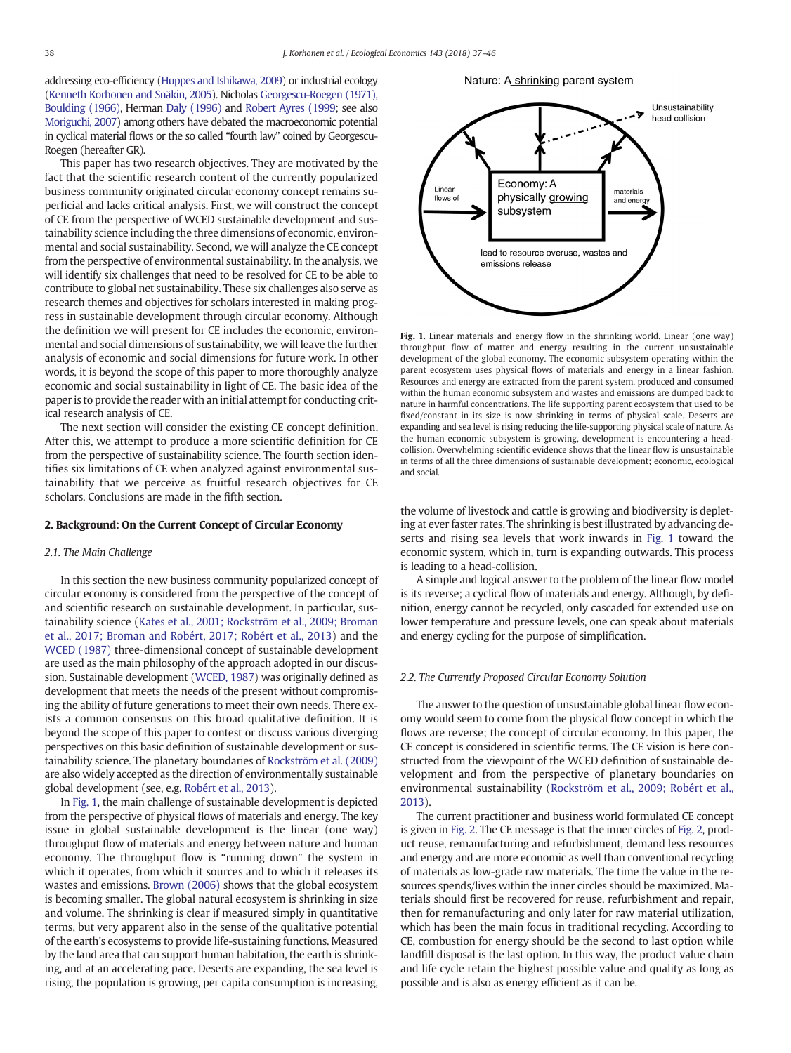addressing eco-efficiency [\(Huppes and Ishikawa, 2009](#page--1-0)) or industrial ecology [\(Kenneth Korhonen and Snäkin, 2005](#page--1-0)). Nicholas [Georgescu-Roegen \(1971\),](#page--1-0) [Boulding \(1966\),](#page--1-0) Herman [Daly \(1996\)](#page--1-0) and [Robert Ayres \(1999;](#page--1-0) see also [Moriguchi, 2007\)](#page--1-0) among others have debated the macroeconomic potential in cyclical material flows or the so called "fourth law" coined by Georgescu-Roegen (hereafter GR).

This paper has two research objectives. They are motivated by the fact that the scientific research content of the currently popularized business community originated circular economy concept remains superficial and lacks critical analysis. First, we will construct the concept of CE from the perspective of WCED sustainable development and sustainability science including the three dimensions of economic, environmental and social sustainability. Second, we will analyze the CE concept from the perspective of environmental sustainability. In the analysis, we will identify six challenges that need to be resolved for CE to be able to contribute to global net sustainability. These six challenges also serve as research themes and objectives for scholars interested in making progress in sustainable development through circular economy. Although the definition we will present for CE includes the economic, environmental and social dimensions of sustainability, we will leave the further analysis of economic and social dimensions for future work. In other words, it is beyond the scope of this paper to more thoroughly analyze economic and social sustainability in light of CE. The basic idea of the paper is to provide the reader with an initial attempt for conducting critical research analysis of CE.

The next section will consider the existing CE concept definition. After this, we attempt to produce a more scientific definition for CE from the perspective of sustainability science. The fourth section identifies six limitations of CE when analyzed against environmental sustainability that we perceive as fruitful research objectives for CE scholars. Conclusions are made in the fifth section.

#### 2. Background: On the Current Concept of Circular Economy

#### 2.1. The Main Challenge

In this section the new business community popularized concept of circular economy is considered from the perspective of the concept of and scientific research on sustainable development. In particular, sustainability science ([Kates et al., 2001; Rockström et al., 2009; Broman](#page--1-0) [et al., 2017; Broman and Robért, 2017; Robért et al., 2013](#page--1-0)) and the [WCED \(1987\)](#page--1-0) three-dimensional concept of sustainable development are used as the main philosophy of the approach adopted in our discussion. Sustainable development [\(WCED, 1987](#page--1-0)) was originally defined as development that meets the needs of the present without compromising the ability of future generations to meet their own needs. There exists a common consensus on this broad qualitative definition. It is beyond the scope of this paper to contest or discuss various diverging perspectives on this basic definition of sustainable development or sustainability science. The planetary boundaries of [Rockström et al. \(2009\)](#page--1-0) are also widely accepted as the direction of environmentally sustainable global development (see, e.g. [Robért et al., 2013](#page--1-0)).

In Fig. 1, the main challenge of sustainable development is depicted from the perspective of physical flows of materials and energy. The key issue in global sustainable development is the linear (one way) throughput flow of materials and energy between nature and human economy. The throughput flow is "running down" the system in which it operates, from which it sources and to which it releases its wastes and emissions. [Brown \(2006\)](#page--1-0) shows that the global ecosystem is becoming smaller. The global natural ecosystem is shrinking in size and volume. The shrinking is clear if measured simply in quantitative terms, but very apparent also in the sense of the qualitative potential of the earth's ecosystems to provide life-sustaining functions. Measured by the land area that can support human habitation, the earth is shrinking, and at an accelerating pace. Deserts are expanding, the sea level is rising, the population is growing, per capita consumption is increasing,

Nature: A shrinking parent system



Fig. 1. Linear materials and energy flow in the shrinking world. Linear (one way) throughput flow of matter and energy resulting in the current unsustainable development of the global economy. The economic subsystem operating within the parent ecosystem uses physical flows of materials and energy in a linear fashion. Resources and energy are extracted from the parent system, produced and consumed within the human economic subsystem and wastes and emissions are dumped back to nature in harmful concentrations. The life supporting parent ecosystem that used to be fixed/constant in its size is now shrinking in terms of physical scale. Deserts are expanding and sea level is rising reducing the life-supporting physical scale of nature. As the human economic subsystem is growing, development is encountering a headcollision. Overwhelming scientific evidence shows that the linear flow is unsustainable in terms of all the three dimensions of sustainable development; economic, ecological and social.

the volume of livestock and cattle is growing and biodiversity is depleting at ever faster rates. The shrinking is best illustrated by advancing deserts and rising sea levels that work inwards in Fig. 1 toward the economic system, which in, turn is expanding outwards. This process is leading to a head-collision.

A simple and logical answer to the problem of the linear flow model is its reverse; a cyclical flow of materials and energy. Although, by definition, energy cannot be recycled, only cascaded for extended use on lower temperature and pressure levels, one can speak about materials and energy cycling for the purpose of simplification.

#### 2.2. The Currently Proposed Circular Economy Solution

The answer to the question of unsustainable global linear flow economy would seem to come from the physical flow concept in which the flows are reverse; the concept of circular economy. In this paper, the CE concept is considered in scientific terms. The CE vision is here constructed from the viewpoint of the WCED definition of sustainable development and from the perspective of planetary boundaries on environmental sustainability ([Rockström et al., 2009; Robért et al.,](#page--1-0) [2013\)](#page--1-0).

The current practitioner and business world formulated CE concept is given in [Fig. 2.](#page--1-0) The CE message is that the inner circles of [Fig. 2](#page--1-0), product reuse, remanufacturing and refurbishment, demand less resources and energy and are more economic as well than conventional recycling of materials as low-grade raw materials. The time the value in the resources spends/lives within the inner circles should be maximized. Materials should first be recovered for reuse, refurbishment and repair, then for remanufacturing and only later for raw material utilization, which has been the main focus in traditional recycling. According to CE, combustion for energy should be the second to last option while landfill disposal is the last option. In this way, the product value chain and life cycle retain the highest possible value and quality as long as possible and is also as energy efficient as it can be.